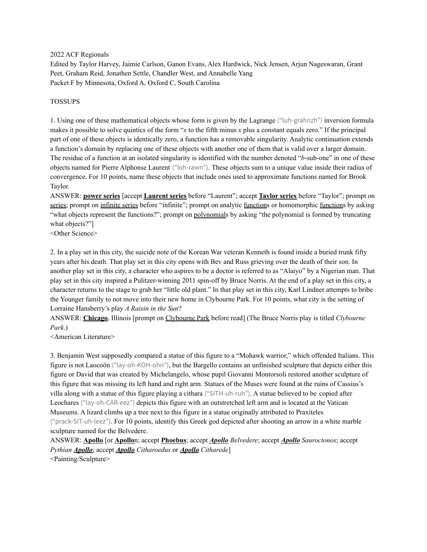2022 ACF Regionals

Edited by Taylor Harvey, Jaimie Carlson, Ganon Evans, Alex Hardwick, Nick Jensen, Arjun Nageswaran, Grant Peet, Graham Reid, Jonathen Settle, Chandler West, and Annabelle Yang Packet F by Minnesota, Oxford A, Oxford C, South Carolina

#### TOSSUPS

1. Using one of these mathematical objects whose form is given by the Lagrange ("luh-grahnzh") inversion formula makes it possible to solve quintics of the form "*x* to the fifth minus *x* plus a constant equals zero." If the principal part of one of these objects is identically zero, a function has a removable singularity. Analytic continuation extends a function's domain by replacing one of these objects with another one of them that is valid over a larger domain. The residue of a function at an isolated singularity is identified with the number denoted "*b*-sub-one" in one of these objects named for Pierre Alphonse Laurent ("loh-rawn"). These objects sum to a unique value inside their radius of convergence. For 10 points, name these objects that include ones used to approximate functions named for Brook Taylor.

ANSWER: **power series** [accept **Laurent series** before "Laurent"; accept **Taylor series** before "Taylor"; prompt on series; prompt on infinite series before "infinite"; prompt on analytic functions or homomorphic functions by asking "what objects represent the functions?"; prompt on polynomials by asking "the polynomial is formed by truncating what objects?"]

<Other Science>

2. In a play set in this city, the suicide note of the Korean War veteran Kenneth is found inside a buried trunk fifty years after his death. That play set in this city opens with Bev and Russ grieving over the death of their son. In another play set in this city, a character who aspires to be a doctor is referred to as "Alaiyo" by a Nigerian man. That play set in this city inspired a Pulitzer-winning 2011 spin-off by Bruce Norris. At the end of a play set in this city, a character returns to the stage to grab her "little old plant." In that play set in this city, Karl Lindner attempts to bribe the Younger family to not move into their new home in Clybourne Park. For 10 points, what city is the setting of Lorraine Hansberry's play *A Raisin in the Sun*?

ANSWER: **Chicago**, Illinois [prompt on Clybourne Park before read] (The Bruce Norris play is titled *Clybourne Park*.)

<American Literature>

3. Benjamin West supposedly compared a statue of this figure to a "Mohawk warrior," which offended Italians. This figure is not Laocoön ("lay-oh-KOH-ohn"), but the Bargello contains an unfinished sculpture that depicts either this figure or David that was created by Michelangelo, whose pupil Giovanni Montorsoli restored another sculpture of this figure that was missing its left hand and right arm. Statues of the Muses were found at the ruins of Cassius's villa along with a statue of this figure playing a cithara ("SITH-uh-ruh"). A statue believed to be copied after Leochares ("lay-oh-CAR-eez") depicts this figure with an outstretched left arm and is located at the Vatican Museums. A lizard climbs up a tree next to this figure in a statue originally attributed to Praxiteles ("prack-SIT-uh-leez"). For 10 points, identify this Greek god depicted after shooting an arrow in a white marble sculpture named for the Belvedere.

ANSWER: **Apollo** [or **Apollo**n; accept **Phoebus**; accept *Apollo Belvedere*; accept *Apollo Sauroctonos*; accept *Pythian Apollo*; accept *Apollo Citharoedus* or *Apollo Citharede*] <Painting/Sculpture>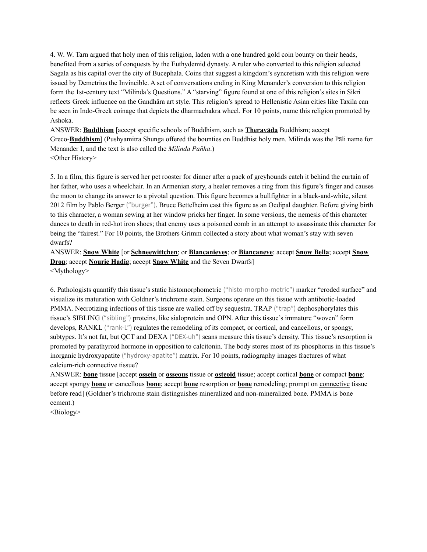4. W. W. Tarn argued that holy men of this religion, laden with a one hundred gold coin bounty on their heads, benefited from a series of conquests by the Euthydemid dynasty. A ruler who converted to this religion selected Sagala as his capital over the city of Bucephala. Coins that suggest a kingdom's syncretism with this religion were issued by Demetrius the Invincible. A set of conversations ending in King Menander's conversion to this religion form the 1st-century text "Milinda's Questions." A "starving" figure found at one of this religion's sites in Sikri reflects Greek influence on the Gandhāra art style. This religion's spread to Hellenistic Asian cities like Taxila can be seen in Indo-Greek coinage that depicts the dharmachakra wheel. For 10 points, name this religion promoted by Ashoka.

ANSWER: **Buddhism** [accept specific schools of Buddhism, such as **Theravāda** Buddhism; accept Greco-**Buddhism**] (Pushyamitra Shunga offered the bounties on Buddhist holy men. Milinda was the Pāli name for Menander I, and the text is also called the *Milinda Pañha*.) <Other History>

5. In a film, this figure is served her pet rooster for dinner after a pack of greyhounds catch it behind the curtain of her father, who uses a wheelchair. In an Armenian story, a healer removes a ring from this figure's finger and causes the moon to change its answer to a pivotal question. This figure becomes a bullfighter in a black-and-white, silent 2012 film by Pablo Berger ("burger"). Bruce Bettelheim cast this figure as an Oedipal daughter. Before giving birth to this character, a woman sewing at her window pricks her finger. In some versions, the nemesis of this character dances to death in red-hot iron shoes; that enemy uses a poisoned comb in an attempt to assassinate this character for being the "fairest." For 10 points, the Brothers Grimm collected a story about what woman's stay with seven dwarfs?

ANSWER: **Snow White** [or **Schneewittchen**; or **Blancanieves**; or **Biancaneve**; accept **Snow Bella**; accept **Snow Drop**; accept **Nourie Hadig**; accept **Snow White** and the Seven Dwarfs] <Mythology>

6. Pathologists quantify this tissue's static histomorphometric ("histo-morpho-metric") marker "eroded surface" and visualize its maturation with Goldner's trichrome stain. Surgeons operate on this tissue with antibiotic-loaded PMMA. Necrotizing infections of this tissue are walled off by sequestra. TRAP ("trap") dephosphorylates this tissue's SIBLING ("sibling") proteins, like sialoprotein and OPN. After this tissue's immature "woven" form develops, RANKL ("rank-L") regulates the remodeling of its compact, or cortical, and cancellous, or spongy, subtypes. It's not fat, but QCT and DEXA ("DEX-uh") scans measure this tissue's density. This tissue's resorption is promoted by parathyroid hormone in opposition to calcitonin. The body stores most of its phosphorus in this tissue's inorganic hydroxyapatite ("hydroxy-apatite") matrix. For 10 points, radiography images fractures of what calcium-rich connective tissue?

ANSWER: **bone** tissue [accept **ossein** or **osseous** tissue or **osteoid** tissue; accept cortical **bone** or compact **bone**; accept spongy **bone** or cancellous **bone**; accept **bone** resorption or **bone** remodeling; prompt on connective tissue before read] (Goldner's trichrome stain distinguishes mineralized and non-mineralized bone. PMMA is bone cement.)

<Biology>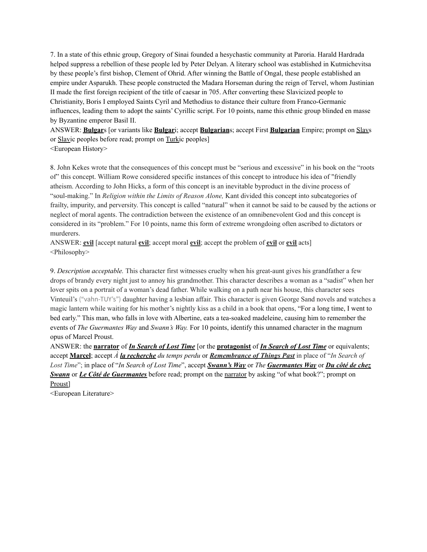7. In a state of this ethnic group, Gregory of Sinai founded a hesychastic community at Paroria. Harald Hardrada helped suppress a rebellion of these people led by Peter Delyan. A literary school was established in Kutmichevitsa by these people's first bishop, Clement of Ohrid. After winning the Battle of Ongal, these people established an empire under Asparukh. These people constructed the Madara Horseman during the reign of Tervel, whom Justinian II made the first foreign recipient of the title of caesar in 705. After converting these Slavicized people to Christianity, Boris I employed Saints Cyril and Methodius to distance their culture from Franco-Germanic influences, leading them to adopt the saints' Cyrillic script. For 10 points, name this ethnic group blinded en masse by Byzantine emperor Basil II.

ANSWER: **Bulgar**s [or variants like **Bulgar**i; accept **Bulgarian**s; accept First **Bulgarian** Empire; prompt on Slavs or Slavic peoples before read; prompt on Turkic peoples] <European History>

8. John Kekes wrote that the consequences of this concept must be "serious and excessive" in his book on the "roots of" this concept. William Rowe considered specific instances of this concept to introduce his idea of "friendly atheism. According to John Hicks, a form of this concept is an inevitable byproduct in the divine process of "soul-making." In *Religion within the Limits of Reason Alone,* Kant divided this concept into subcategories of frailty, impurity, and perversity. This concept is called "natural" when it cannot be said to be caused by the actions or neglect of moral agents. The contradiction between the existence of an omnibenevolent God and this concept is considered in its "problem." For 10 points, name this form of extreme wrongdoing often ascribed to dictators or murderers.

ANSWER: **evil** [accept natural **evil**; accept moral **evil**; accept the problem of **evil** or **evil** acts] <Philosophy>

9. *Description acceptable.* This character first witnesses cruelty when his great-aunt gives his grandfather a few drops of brandy every night just to annoy his grandmother. This character describes a woman as a "sadist" when her lover spits on a portrait of a woman's dead father. While walking on a path near his house, this character sees Vinteuil's ("vahn-TUY's") daughter having a lesbian affair. This character is given George Sand novels and watches a magic lantern while waiting for his mother's nightly kiss as a child in a book that opens, "For a long time, I went to bed early." This man, who falls in love with Albertine, eats a tea-soaked madeleine, causing him to remember the events of *The Guermantes Way* and *Swann's Way.* For 10 points, identify this unnamed character in the magnum opus of Marcel Proust.

ANSWER: the **narrator** of *In Search of Lost Time* [or the **protagonist** of *In Search of Lost Time* or equivalents; accept **Marcel**; accept *À la recherche du temps perdu* or *Remembrance of Things Past* in place of "*In Search of Lost Time*"; in place of "*In Search of Lost Time*", accept *Swann's Way* or *The Guermantes Way* or *Du côté de chez Swann* or *Le Côté de Guermantes* before read; prompt on the narrator by asking "of what book?"; prompt on Proust]

<European Literature>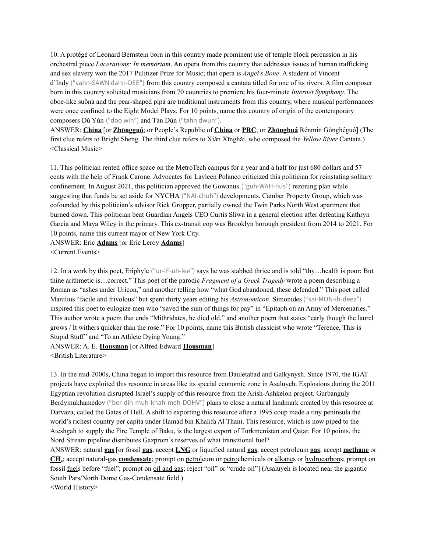10. A protégé of Leonard Bernstein born in this country made prominent use of temple block percussion in his orchestral piece *Lacerations: In memoriam*. An opera from this country that addresses issues of human trafficking and sex slavery won the 2017 Pulitizer Prize for Music; that opera is *Angel's Bone*. A student of Vincent d'Indy ("vahn-SAWN dahn-DEE") from this country composed a cantata titled for one of its rivers. A film composer born in this country solicited musicians from 70 countries to premiere his four-minute *Internet Symphony*. The oboe-like suǒnà and the pear-shaped pípá are traditional instruments from this country, where musical performances were once confined to the Eight Model Plays. For 10 points, name this country of origin of the contemporary composers Dù Yùn ("doo win") and Tán Dùn ("tahn dwun").

ANSWER: **China** [or **Zhōngguó**; or People's Republic of **China** or **PRC**; or **Zhōnghuá** Rénmín Gònghéguó] (The first clue refers to Bright Sheng. The third clue refers to Xiǎn Xīnghǎi, who composed the *Yellow River* Cantata.) <Classical Music>

11. This politician rented office space on the MetroTech campus for a year and a half for just 680 dollars and 57 cents with the help of Frank Carone. Advocates for Layleen Polanco criticized this politician for reinstating solitary confinement. In August 2021, this politician approved the Gowanus ("guh-WAH-nus") rezoning plan while suggesting that funds be set aside for NYCHA ("NAI-chuh") developments. Camber Property Group, which was cofounded by this politician's advisor Rick Gropper, partially owned the Twin Parks North West apartment that burned down. This politician beat Guardian Angels CEO Curtis Sliwa in a general election after defeating Kathryn Garcia and Maya Wiley in the primary. This ex-transit cop was Brooklyn borough president from 2014 to 2021. For 10 points, name this current mayor of New York City.

ANSWER: Eric **Adams** [or Eric Leroy **Adams**] <Current Events>

12. In a work by this poet, Eriphyle ("ur-IF-uh-lee") says he was stabbed thrice and is told "thy…health is poor; But thine arithmetic is…correct." This poet of the parodic *Fragment of a Greek Tragedy* wrote a poem describing a Roman as "ashes under Uricon," and another telling how "what God abandoned, these defended." This poet called Manilius "facile and frivolous" but spent thirty years editing his *Astronomicon*. Simonides ("sai-MON-ih-deez") inspired this poet to eulogize men who "saved the sum of things for pay" in "Epitaph on an Army of Mercenaries." This author wrote a poem that ends "Mithridates, he died old," and another poem that states "early though the laurel grows / It withers quicker than the rose." For 10 points, name this British classicist who wrote "Terence, This is Stupid Stuff" and "To an Athlete Dying Young."

ANSWER: A. E. **Housman** [or Alfred Edward **Housman**] <British Literature>

13. In the mid-2000s, China began to import this resource from Dauletabad and Galkynysh. Since 1970, the IGAT projects have exploited this resource in areas like its special economic zone in Asaluyeh. Explosions during the 2011 Egyptian revolution disrupted Israel's supply of this resource from the Arish-Ashkelon project. Gurbanguly Berdymukhamedov ("ber-dih-muh-khah-meh-DOHV") plans to close a natural landmark created by this resource at Darvaza, called the Gates of Hell. A shift to exporting this resource after a 1995 coup made a tiny peninsula the world's richest country per capita under Hamad bin Khalifa Al Thani. This resource, which is now piped to the Ateshgah to supply the Fire Temple of Baku, is the largest export of Turkmenistan and Qaṭar. For 10 points, the Nord Stream pipeline distributes Gazprom's reserves of what transitional fuel?

ANSWER: natural **gas** [or fossil **gas**; accept **LNG** or liquefied natural **gas**; accept petroleum **gas**; accept **methane** or **CH<sup>4</sup>** ; accept natural-gas **condensate**; prompt on petroleum or petrochemicals or alkanes or hydrocarbons; prompt on fossil fuels before "fuel"; prompt on oil and gas; reject "oil" or "crude oil"] (Asaluyeh is located near the gigantic South Pars/North Dome Gas-Condensate field.)

<World History>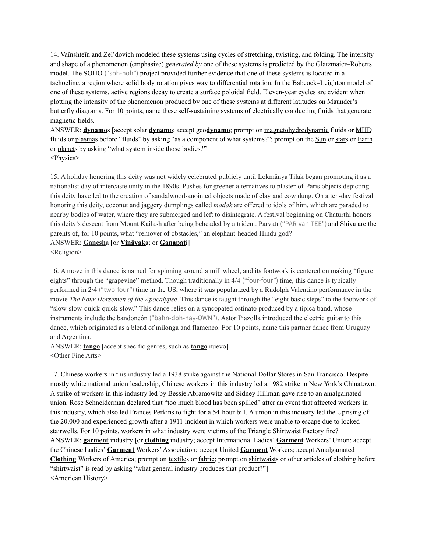14. Vaĭnshteĭn and Zel'dovich modeled these systems using cycles of stretching, twisting, and folding. The intensity and shape of a phenomenon (emphasize) *generated by* one of these systems is predicted by the Glatzmaier–Roberts model. The SOHO ("soh-hoh") project provided further evidence that one of these systems is located in a tachocline, a region where solid body rotation gives way to differential rotation. In the Babcock–Leighton model of one of these systems, active regions decay to create a surface poloidal field. Eleven-year cycles are evident when plotting the intensity of the phenomenon produced by one of these systems at different latitudes on Maunder's butterfly diagrams. For 10 points, name these self-sustaining systems of electrically conducting fluids that generate magnetic fields.

ANSWER: **dynamo**s [accept solar **dynamo**; accept geo**dynamo**; prompt on magnetohydrodynamic fluids or MHD fluids or plasmas before "fluids" by asking "as a component of what systems?"; prompt on the Sun or stars or Earth or planets by asking "what system inside those bodies?"] <Physics>

15. A holiday honoring this deity was not widely celebrated publicly until Lokmānya Tilak began promoting it as a nationalist day of intercaste unity in the 1890s. Pushes for greener alternatives to plaster-of-Paris objects depicting this deity have led to the creation of sandalwood-anointed objects made of clay and cow dung. On a ten-day festival honoring this deity, coconut and jaggery dumplings called *modak* are offered to idols of him, which are paraded to nearby bodies of water, where they are submerged and left to disintegrate. A festival beginning on Chaturthi honors this deity's descent from Mount Kailash after being beheaded by a trident. Pārvatī ("PAR-vah-TEE") and Shiva are the parents of, for 10 points, what "remover of obstacles," an elephant-headed Hindu god?

ANSWER: **Ganesh**a [or **Vināyak**a; or **Ganapat**i]

<Religion>

16. A move in this dance is named for spinning around a mill wheel, and its footwork is centered on making "figure eights" through the "grapevine" method. Though traditionally in 4/4 ("four-four") time, this dance is typically performed in 2/4 ("two-four") time in the US, where it was popularized by a Rudolph Valentino performance in the movie *The Four Horsemen of the Apocalypse*. This dance is taught through the "eight basic steps" to the footwork of "slow-slow-quick-quick-slow." This dance relies on a syncopated ostinato produced by a típica band, whose instruments include the bandoneón ("bahn-doh-nay-OWN"). Astor Piazolla introduced the electric guitar to this dance, which originated as a blend of milonga and flamenco. For 10 points, name this partner dance from Uruguay and Argentina.

ANSWER: **tango** [accept specific genres, such as **tango** nuevo] <Other Fine Arts>

17. Chinese workers in this industry led a 1938 strike against the National Dollar Stores in San Francisco. Despite mostly white national union leadership, Chinese workers in this industry led a 1982 strike in New York's Chinatown. A strike of workers in this industry led by Bessie Abramowitz and Sidney Hillman gave rise to an amalgamated union. Rose Schneiderman declared that "too much blood has been spilled" after an event that affected workers in this industry, which also led Frances Perkins to fight for a 54-hour bill. A union in this industry led the Uprising of the 20,000 and experienced growth after a 1911 incident in which workers were unable to escape due to locked stairwells. For 10 points, workers in what industry were victims of the Triangle Shirtwaist Factory fire? ANSWER: **garment** industry [or **clothing** industry; accept International Ladies' **Garment** Workers' Union; accept the Chinese Ladies' **Garment** Workers'Association; accept United **Garment** Workers; accept Amalgamated **Clothing** Workers of America; prompt on textiles or fabric; prompt on shirtwaists or other articles of clothing before "shirtwaist" is read by asking "what general industry produces that product?"] <American History>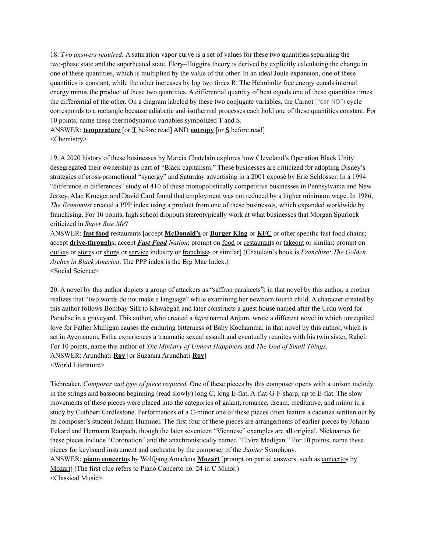18. *Two answers required.* A saturation vapor curve is a set of values for these two quantities separating the two-phase state and the superheated state. Flory–Huggins theory is derived by explicitly calculating the change in one of these quantities, which is multiplied by the value of the other. In an ideal Joule expansion, one of these quantities is constant, while the other increases by log two times R. The Helmholtz free energy equals internal energy minus the product of these two quantities. A differential quantity of heat equals one of these quantities times the differential of the other. On a diagram labeled by these two conjugate variables, the Carnot ("car-NO") cycle corresponds to a rectangle because adiabatic and isothermal processes each hold one of these quantities constant. For 10 points, name these thermodynamic variables symbolized T and S.

ANSWER: **temperature** [or **T** before read] AND **entropy** [or **S** before read] <Chemistry>

19. A 2020 history of these businesses by Marcia Chatelain explores how Cleveland's Operation Black Unity desegregated their ownership as part of "Black capitalism." These businesses are criticized for adopting Disney's strategies of cross-promotional "synergy" and Saturday advertising in a 2001 exposé by Eric Schlosser. In a 1994 "difference in differences" study of 410 of these monopolistically competitive businesses in Pennsylvania and New Jersey, Alan Krueger and David Card found that employment was not reduced by a higher minimum wage. In 1986, *The Economist* created a PPP index using a product from one of these businesses, which expanded worldwide by franchising. For 10 points, high school dropouts stereotypically work at what businesses that Morgan Spurlock criticized in *Super Size Me*?

ANSWER: **fast food** restaurants [accept **McDonald's** or **Burger King** or **KFC** or other specific fast food chains; accept **drive-through**s; accept *Fast Food Nation*; prompt on food or restaurants or takeout or similar; prompt on outlets or stores or shops or service industry or franchises or similar] (Chatelain's book is *Franchise: The Golden Arches in Black America*. The PPP index is the Big Mac Index.) <Social Science>

20. A novel by this author depicts a group of attackers as "saffron parakeets"; in that novel by this author, a mother realizes that "two words do not make a language" while examining her newborn fourth child. A character created by this author follows Bombay Silk to Khwabgah and later constructs a guest house named after the Urdu word for Paradise in a graveyard. This author, who created a *hijra* named Anjum, wrote a different novel in which unrequited love for Father Mulligan causes the enduring bitterness of Baby Kochamma; in that novel by this author, which is set in Ayemenem, Estha experiences a traumatic sexual assault and eventually reunites with his twin sister, Rahel. For 10 points, name this author of *The Ministry of Utmost Happiness* and *The God of Small Things*. ANSWER: Arundhati **Roy** [or Suzanna Arundhati **Roy**] <World Literature>

Tiebreaker. *Composer and type of piece required.* One of these pieces by this composer opens with a unison melody in the strings and bassoons beginning (read slowly) long C, long E-flat, A-flat-G-F-sharp, up to E-flat. The slow movements of these pieces were placed into the categories of galant, romance, dream, meditative, and minor in a study by Cuthbert Girdlestone. Performances of a C-minor one of these pieces often feature a cadenza written out by its composer's student Johann Hummel. The first four of these pieces are arrangements of earlier pieces by Johann Eckard and Hermann Raupach, though the later seventeen "Viennese" examples are all original. Nicknames for these pieces include "Coronation" and the anachronistically named "Elvira Madigan." For 10 points, name these pieces for keyboard instrument and orchestra by the composer of the *Jupiter* Symphony.

ANSWER: **piano concerto**s by Wolfgang Amadeus **Mozart** [prompt on partial answers, such as concertos by Mozart] (The first clue refers to Piano Concerto no. 24 in C Minor.)

<Classical Music>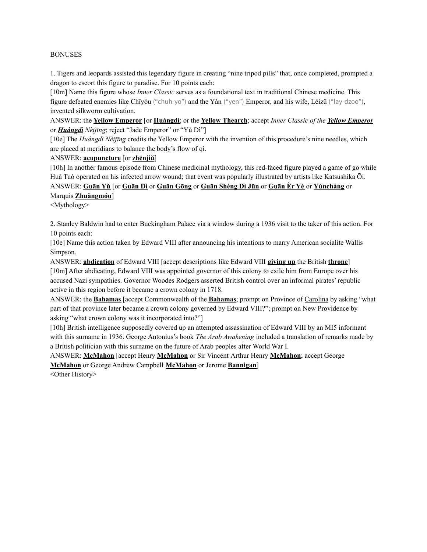#### BONUSES

1. Tigers and leopards assisted this legendary figure in creating "nine tripod pills" that, once completed, prompted a dragon to escort this figure to paradise. For 10 points each:

[10m] Name this figure whose *Inner Classic* serves as a foundational text in traditional Chinese medicine. This figure defeated enemies like Chīyóu ("chuh-yo") and the Yán ("yen") Emperor, and his wife, Léizǔ ("lay-dzoo"), invented silkworm cultivation.

ANSWER: the **Yellow Emperor** [or **Huángdì**; or the **Yellow Thearch**; accept *Inner Classic of the Yellow Emperor* or *Huángdì Nèijīng*; reject "Jade Emperor" or "Yù Dì"]

[10e] The *Huángdì Nèijīng* credits the Yellow Emperor with the invention of this procedure's nine needles, which are placed at meridians to balance the body's flow of qì.

#### ANSWER: **acupuncture** [or **zhēnjiǔ**]

[10h] In another famous episode from Chinese medicinal mythology, this red-faced figure played a game of go while Huà Tuó operated on his infected arrow wound; that event was popularly illustrated by artists like Katsushika Ōi.

ANSWER: **Guān Yǔ** [or **Guān Dì** or **Guān Gōng** or **Guān Shèng Dì Jūn** or **Guān Èr Yé** or **Yúncháng** or Marquis **Zhuàngmóu**]

<Mythology>

2. Stanley Baldwin had to enter Buckingham Palace via a window during a 1936 visit to the taker of this action. For 10 points each:

[10e] Name this action taken by Edward VIII after announcing his intentions to marry American socialite Wallis Simpson.

ANSWER: **abdication** of Edward VIII [accept descriptions like Edward VIII **giving up** the British **throne**] [10m] After abdicating, Edward VIII was appointed governor of this colony to exile him from Europe over his accused Nazi sympathies. Governor Woodes Rodgers asserted British control over an informal pirates' republic active in this region before it became a crown colony in 1718.

ANSWER: the **Bahamas** [accept Commonwealth of the **Bahamas**; prompt on Province of Carolina by asking "what part of that province later became a crown colony governed by Edward VIII?"; prompt on New Providence by asking "what crown colony was it incorporated into?"]

[10h] British intelligence supposedly covered up an attempted assassination of Edward VIII by an MI5 informant with this surname in 1936. George Antonius's book *The Arab Awakening* included a translation of remarks made by a British politician with this surname on the future of Arab peoples after World War I.

ANSWER: **McMahon** [accept Henry **McMahon** or Sir Vincent Arthur Henry **McMahon**; accept George **McMahon** or George Andrew Campbell **McMahon** or Jerome **Bannigan**]

<Other History>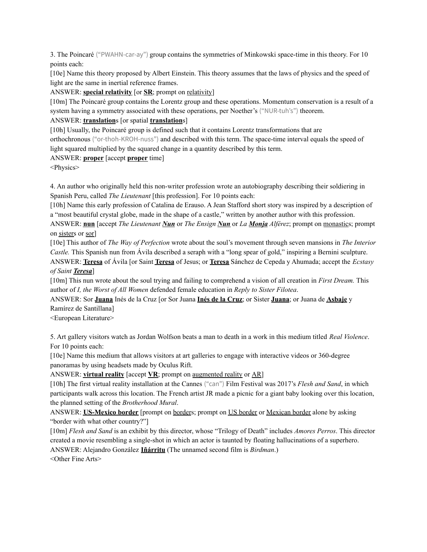3. The Poincaré ("PWAHN-car-ay") group contains the symmetries of Minkowski space-time in this theory. For 10 points each:

[10e] Name this theory proposed by Albert Einstein. This theory assumes that the laws of physics and the speed of light are the same in inertial reference frames.

ANSWER: **special relativity** [or **SR**; prompt on relativity]

[10m] The Poincaré group contains the Lorentz group and these operations. Momentum conservation is a result of a system having a symmetry associated with these operations, per Noether's ("NUR-tuh's") theorem.

### ANSWER: **translation**s [or spatial **translation**s]

[10h] Usually, the Poincaré group is defined such that it contains Lorentz transformations that are orthochronous ("or-thoh-KROH-nuss") and described with this term. The space-time interval equals the speed of light squared multiplied by the squared change in a quantity described by this term.

### ANSWER: **proper** [accept **proper** time]

<Physics>

4. An author who originally held this non-writer profession wrote an autobiography describing their soldiering in Spanish Peru, called *The Lieutenant* [this profession]. For 10 points each:

[10h] Name this early profession of Catalina de Erauso. A Jean Stafford short story was inspired by a description of a "most beautiful crystal globe, made in the shape of a castle," written by another author with this profession.

ANSWER: **nun** [accept *The Lieutenant Nun* or *The Ensign Nun* or *La Monja Alférez*; prompt on monastics; prompt on sisters or sor]

[10e] This author of *The Way of Perfection* wrote about the soul's movement through seven mansions in *The Interior Castle.* This Spanish nun from Ávila described a seraph with a "long spear of gold," inspiring a Bernini sculpture.

ANSWER: **Teresa** of Ávila [or Saint **Teresa** of Jesus; or **Teresa** Sánchez de Cepeda y Ahumada; accept the *Ecstasy of Saint Teresa*]

[10m] This nun wrote about the soul trying and failing to comprehend a vision of all creation in *First Dream.* This author of *I, the Worst of All Women* defended female education in *Reply to Sister Filotea*.

ANSWER: Sor **Juana** Inés de la Cruz [or Sor Juana **Inés de la Cruz**; or Sister **Juana**; or Juana de **Asbaje** y Ramírez de Santillana]

<European Literature>

5. Art gallery visitors watch as Jordan Wolfson beats a man to death in a work in this medium titled *Real Violence*. For 10 points each:

[10e] Name this medium that allows visitors at art galleries to engage with interactive videos or 360-degree panoramas by using headsets made by Oculus Rift.

ANSWER: **virtual reality** [accept **VR**; prompt on augmented reality or AR]

[10h] The first virtual reality installation at the Cannes ("can") Film Festival was 2017's *Flesh and Sand*, in which participants walk across this location. The French artist JR made a picnic for a giant baby looking over this location, the planned setting of the *Brotherhood Mural*.

ANSWER: **US-Mexico border** [prompt on borders; prompt on US border or Mexican border alone by asking "border with what other country?"]

[10m] *Flesh and Sand* is an exhibit by this director, whose "Trilogy of Death" includes *Amores Perros*. This director created a movie resembling a single-shot in which an actor is taunted by floating hallucinations of a superhero. ANSWER: Alejandro González **Iñárritu** (The unnamed second film is *Birdman*.)

<Other Fine Arts>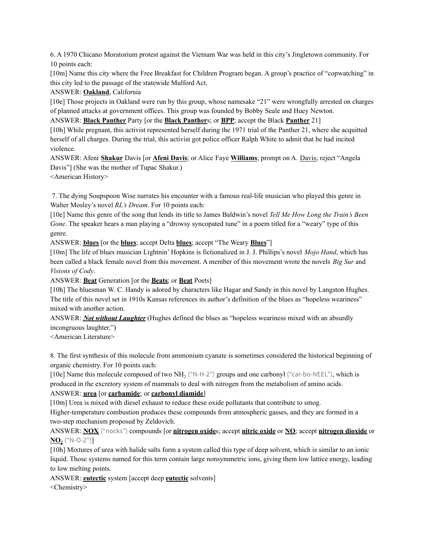6. A 1970 Chicano Moratorium protest against the Vietnam War was held in this city's Jingletown community. For 10 points each:

[10m] Name this city where the Free Breakfast for Children Program began. A group's practice of "copwatching" in this city led to the passage of the statewide Mulford Act.

## ANSWER: **Oakland**, California

[10e] Those projects in Oakland were run by this group, whose namesake "21" were wrongfully arrested on charges of planned attacks at government offices. This group was founded by Bobby Seale and Huey Newton.

ANSWER: **Black Panther** Party [or the **Black Panther**s; or **BPP**; accept the Black **Panther** 21]

[10h] While pregnant, this activist represented herself during the 1971 trial of the Panther 21, where she acquitted herself of all charges. During the trial, this activist got police officer Ralph White to admit that he had incited violence.

ANSWER: Afeni **Shakur** Davis [or **Afeni Davis**; or Alice Faye **Williams**; prompt on A. Davis; reject "Angela Davis"] (She was the mother of Tupac Shakur.)

<American History>

7. The dying Soupspoon Wise narrates his encounter with a famous real-life musician who played this genre in Walter Mosley's novel *RL's Dream*. For 10 points each:

[10e] Name this genre of the song that lends its title to James Baldwin's novel *Tell Me How Long the Train's Been Gone*. The speaker hears a man playing a "drowsy syncopated tune" in a poem titled for a "weary" type of this genre.

ANSWER: **blues** [or the **blues**; accept Delta **blues**; accept "The Weary **Blues**"]

[10m] The life of blues musician Lightnin' Hopkins is fictionalized in J. J. Phillips's novel *Mojo Hand*, which has been called a black female novel from this movement. A member of this movement wrote the novels *Big Sur* and *Visions of Cody*.

ANSWER: **Beat** Generation [or the **Beats**; or **Beat** Poets]

[10h] The bluesman W. C. Handy is adored by characters like Hagar and Sandy in this novel by Langston Hughes. The title of this novel set in 1910s Kansas references its author's definition of the blues as "hopeless weariness" mixed with another action.

ANSWER: *Not without Laughter* (Hughes defined the blues as "hopeless weariness mixed with an absurdly incongruous laughter.")

<American Literature>

8. The first synthesis of this molecule from ammonium cyanate is sometimes considered the historical beginning of organic chemistry. For 10 points each:

[10e] Name this molecule composed of two NH<sub>2</sub> ("N-H-2") groups and one carbonyl ("car-bo-NEEL"), which is produced in the excretory system of mammals to deal with nitrogen from the metabolism of amino acids.

# ANSWER: **urea** [or **carbamide**; or **carbonyl diamide**]

[10m] Urea is mixed with diesel exhaust to reduce these oxide pollutants that contribute to smog.

Higher-temperature combustion produces these compounds from atmospheric gasses, and they are formed in a two-step mechanism proposed by Zeldovich.

ANSWER: **NOX** ("nocks") compounds [or **nitrogen oxide**s; accept **nitric oxide** or **NO**; accept **nitrogen dioxide** or  $NO<sub>2</sub>$  ("N-O-2")]

[10h] Mixtures of urea with halide salts form a system called this type of deep solvent, which is similar to an ionic liquid. Those systems named for this term contain large nonsymmetric ions, giving them low lattice energy, leading to low melting points.

ANSWER: **eutectic** system [accept deep **eutectic** solvents]

<Chemistry>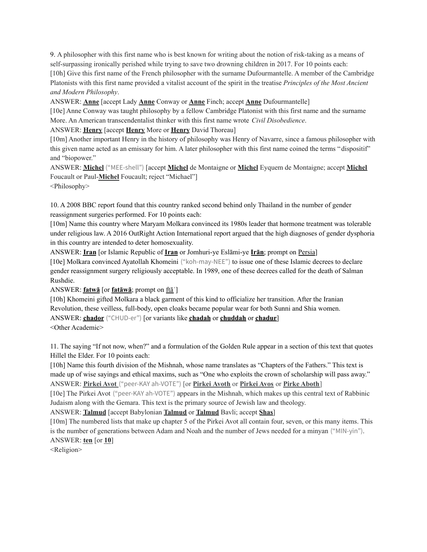9. A philosopher with this first name who is best known for writing about the notion of risk-taking as a means of self-surpassing ironically perished while trying to save two drowning children in 2017. For 10 points each: [10h] Give this first name of the French philosopher with the surname Dufourmantelle. A member of the Cambridge Platonists with this first name provided a vitalist account of the spirit in the treatise *Principles of the Most Ancient and Modern Philosophy*.

ANSWER: **Anne** [accept Lady **Anne** Conway or **Anne** Finch; accept **Anne** Dufourmantelle]

[10e] Anne Conway was taught philosophy by a fellow Cambridge Platonist with this first name and the surname More. An American transcendentalist thinker with this first name wrote *Civil Disobedience*.

ANSWER: **Henry** [accept **Henry** More or **Henry** David Thoreau]

[10m] Another important Henry in the history of philosophy was Henry of Navarre, since a famous philosopher with this given name acted as an emissary for him. A later philosopher with this first name coined the terms "dispositif" and "biopower."

ANSWER: **Michel** ("MEE-shell") [accept **Michel** de Montaigne or **Michel** Eyquem de Montaigne; accept **Michel** Foucault or Paul-**Michel** Foucault; reject "Michael"]

<Philosophy>

10. A 2008 BBC report found that this country ranked second behind only Thailand in the number of gender reassignment surgeries performed. For 10 points each:

[10m] Name this country where Maryam Molkara convinced its 1980s leader that hormone treatment was tolerable under religious law. A 2016 OutRight Action International report argued that the high diagnoses of gender dysphoria in this country are intended to deter homosexuality.

ANSWER: **Iran** [or Islamic Republic of **Iran** or Jomhuri-ye Eslāmi-ye **Irān**; prompt on Persia] [10e] Molkara convinced Ayatollah Khomeini ("koh-may-NEE") to issue one of these Islamic decrees to declare gender reassignment surgery religiously acceptable. In 1989, one of these decrees called for the death of Salman Rushdie.

ANSWER: **fatwā** [or **fatāwā**; prompt on ftāʾ]

[10h] Khomeini gifted Molkara a black garment of this kind to officialize her transition. After the Iranian Revolution, these veilless, full-body, open cloaks became popular wear for both Sunni and Shia women. ANSWER: **chador** ("CHUD-er") [or variants like **chadah** or **chuddah** or **chadur**] <Other Academic>

11. The saying "If not now, when?" and a formulation of the Golden Rule appear in a section of this text that quotes Hillel the Elder. For 10 points each:

[10h] Name this fourth division of the Mishnah, whose name translates as "Chapters of the Fathers." This text is made up of wise sayings and ethical maxims, such as "One who exploits the crown of scholarship will pass away." ANSWER: **Pirkei Avot** ("peer-KAY ah-VOTE") [or **Pirkei Avoth** or **Pirkei Avos** or **Pirke Aboth**]

[10e] The Pirkei Avot ("peer-KAY ah-VOTE") appears in the Mishnah, which makes up this central text of Rabbinic Judaism along with the Gemara. This text is the primary source of Jewish law and theology.

ANSWER: **Talmud** [accept Babylonian **Talmud** or **Talmud** Bavli; accept **Shas**]

[10m] The numbered lists that make up chapter 5 of the Pirkei Avot all contain four, seven, or this many items. This is the number of generations between Adam and Noah and the number of Jews needed for a minyan ("MIN-yin"). ANSWER: **ten** [or **10**]

<Religion>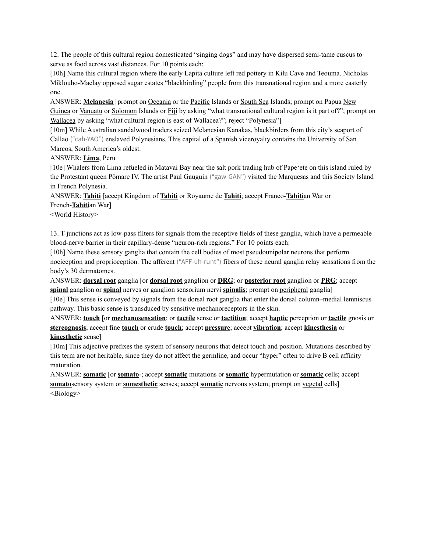12. The people of this cultural region domesticated "singing dogs" and may have dispersed semi-tame cuscus to serve as food across vast distances. For 10 points each:

[10h] Name this cultural region where the early Lapita culture left red pottery in Kilu Cave and Teouma. Nicholas Miklouho-Maclay opposed sugar estates "blackbirding" people from this transnational region and a more easterly one.

ANSWER: **Melanesia** [prompt on Oceania or the Pacific Islands or South Sea Islands; prompt on Papua New Guinea or Vanuatu or Solomon Islands or Fiji by asking "what transnational cultural region is it part of?"; prompt on Wallacea by asking "what cultural region is east of Wallacea?"; reject "Polynesia"]

[10m] While Australian sandalwood traders seized Melanesian Kanakas, blackbirders from this city's seaport of Callao ("cah-YAO") enslaved Polynesians. This capital of a Spanish viceroyalty contains the University of San Marcos, South America's oldest.

### ANSWER: **Lima**, Peru

[10e] Whalers from Lima refueled in Matavai Bay near the salt pork trading hub of Papeʻete on this island ruled by the Protestant queen Pōmare IV. The artist Paul Gauguin ("gaw-GAN") visited the Marquesas and this Society Island in French Polynesia.

ANSWER: **Tahiti** [accept Kingdom of **Tahiti** or Royaume de **Tahiti**; accept Franco-**Tahiti**an War or French-**Tahiti**an War]

<World History>

13. T-junctions act as low-pass filters for signals from the receptive fields of these ganglia, which have a permeable blood-nerve barrier in their capillary-dense "neuron-rich regions." For 10 points each:

[10h] Name these sensory ganglia that contain the cell bodies of most pseudounipolar neurons that perform nociception and proprioception. The afferent ("AFF-uh-runt") fibers of these neural ganglia relay sensations from the body's 30 dermatomes.

ANSWER: **dorsal root** ganglia [or **dorsal root** ganglion or **DRG**; or **posterior root** ganglion or **PRG**; accept **spinal** ganglion or **spinal** nerves or ganglion sensorium nervi **spinalis**; prompt on peripheral ganglia]

[10e] This sense is conveyed by signals from the dorsal root ganglia that enter the dorsal column–medial lemniscus pathway. This basic sense is transduced by sensitive mechanoreceptors in the skin.

ANSWER: **touch** [or **mechanosensation**; or **tactile** sense or **tactition**; accept **haptic** perception or **tactile** gnosis or **stereognosis**; accept fine **touch** or crude **touch**; accept **pressure**; accept **vibration**; accept **kinesthesia** or **kinesthetic** sense]

[10m] This adjective prefixes the system of sensory neurons that detect touch and position. Mutations described by this term are not heritable, since they do not affect the germline, and occur "hyper" often to drive B cell affinity maturation.

ANSWER: **somatic** [or **somato**-; accept **somatic** mutations or **somatic** hypermutation or **somatic** cells; accept **somato**sensory system or **somesthetic** senses; accept **somatic** nervous system; prompt on vegetal cells] <Biology>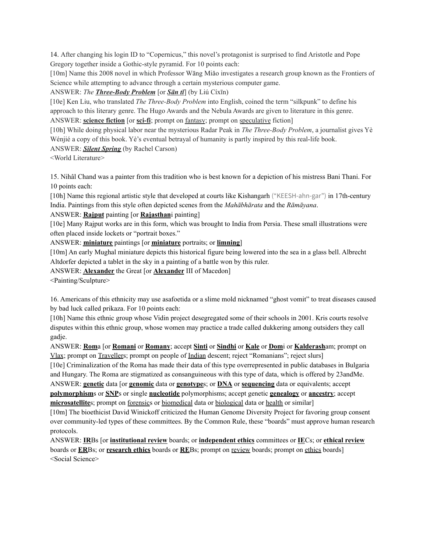14. After changing his login ID to "Copernicus," this novel's protagonist is surprised to find Aristotle and Pope Gregory together inside a Gothic-style pyramid. For 10 points each:

[10m] Name this 2008 novel in which Professor Wāng Miǎo investigates a research group known as the Frontiers of Science while attempting to advance through a certain mysterious computer game.

ANSWER: *The Three-Body Problem* [or *Sān tǐ*] (by Liú Cíxīn)

[10e] Ken Liu, who translated *The Three-Body Problem* into English, coined the term "silkpunk" to define his approach to this literary genre. The Hugo Awards and the Nebula Awards are given to literature in this genre. ANSWER: **science fiction** [or **sci-fi**; prompt on fantasy; prompt on speculative fiction]

[10h] While doing physical labor near the mysterious Radar Peak in *The Three-Body Problem*, a journalist gives Yè Wénjié a copy of this book. Yè's eventual betrayal of humanity is partly inspired by this real-life book.

ANSWER: *Silent Spring* (by Rachel Carson)

<World Literature>

15. Nihâl Chand was a painter from this tradition who is best known for a depiction of his mistress Bani Thani. For 10 points each:

[10h] Name this regional artistic style that developed at courts like Kishangarh ("KEESH-ahn-gar") in 17th-century India. Paintings from this style often depicted scenes from the *Mahābhārata* and the *Rāmāyana*.

#### ANSWER: **Rajput** painting [or **Rajasthan**i painting]

[10e] Many Rajput works are in this form, which was brought to India from Persia. These small illustrations were often placed inside lockets or "portrait boxes."

ANSWER: **miniature** paintings [or **miniature** portraits; or **limning**]

[10m] An early Mughal miniature depicts this historical figure being lowered into the sea in a glass bell. Albrecht Altdorfer depicted a tablet in the sky in a painting of a battle won by this ruler.

ANSWER: **Alexander** the Great [or **Alexander** III of Macedon]

<Painting/Sculpture>

16. Americans of this ethnicity may use asafoetida or a slime mold nicknamed "ghost vomit" to treat diseases caused by bad luck called prikaza. For 10 points each:

[10h] Name this ethnic group whose Vidin project desegregated some of their schools in 2001. Kris courts resolve disputes within this ethnic group, whose women may practice a trade called dukkering among outsiders they call gadje.

ANSWER: **Rom**a [or **Romani** or **Romany**; accept **Sinti** or **Sindhi** or **Kale** or **Dom**i or **Kalderash**am; prompt on Vlax; prompt on Travellers; prompt on people of Indian descent; reject "Romanians"; reject slurs]

[10e] Criminalization of the Roma has made their data of this type overrepresented in public databases in Bulgaria and Hungary. The Roma are stigmatized as consanguineous with this type of data, which is offered by 23andMe. ANSWER: **genetic** data [or **genomic** data or **genotype**s; or **DNA** or **sequencing** data or equivalents; accept **polymorphism**s or **SNP**s or single **nucleotide** polymorphisms; accept genetic **genealogy** or **ancestry**; accept

**microsatellite**s; prompt on forensics or biomedical data or biological data or health or similar]

[10m] The bioethicist David Winickoff criticized the Human Genome Diversity Project for favoring group consent over community-led types of these committees. By the Common Rule, these "boards" must approve human research protocols.

ANSWER: **IR**Bs [or **institutional review** boards; or **independent ethics** committees or **IE**Cs; or **ethical review** boards or **ER**Bs; or **research ethics** boards or **RE**Bs; prompt on review boards; prompt on ethics boards] <Social Science>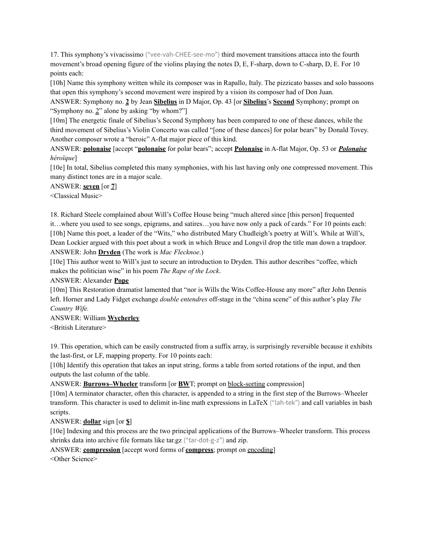17. This symphony's vivacissimo ("vee-vah-CHEE-see-mo") third movement transitions attacca into the fourth movement's broad opening figure of the violins playing the notes D, E, F-sharp, down to C-sharp, D, E. For 10 points each:

[10h] Name this symphony written while its composer was in Rapallo, Italy. The pizzicato basses and solo bassoons that open this symphony's second movement were inspired by a vision its composer had of Don Juan.

ANSWER: Symphony no. **2** by Jean **Sibelius** in D Major, Op. 43 [or **Sibelius**'s **Second** Symphony; prompt on "Symphony no. 2" alone by asking "by whom?"]

[10m] The energetic finale of Sibelius's Second Symphony has been compared to one of these dances, while the third movement of Sibelius's Violin Concerto was called "[one of these dances] for polar bears" by Donald Tovey. Another composer wrote a "heroic" A-flat major piece of this kind.

ANSWER: **polonaise** [accept "**polonaise** for polar bears"; accept **Polonaise** in A-flat Major, Op. 53 or *Polonaise héroïque*]

[10e] In total, Sibelius completed this many symphonies, with his last having only one compressed movement. This many distinct tones are in a major scale.

ANSWER: **seven** [or **7**]

<Classical Music>

18. Richard Steele complained about Will's Coffee House being "much altered since [this person] frequented it…where you used to see songs, epigrams, and satires…you have now only a pack of cards." For 10 points each: [10h] Name this poet, a leader of the "Wits," who distributed Mary Chudleigh's poetry at Will's. While at Will's, Dean Lockier argued with this poet about a work in which Bruce and Longvil drop the title man down a trapdoor. ANSWER: John **Dryden** (The work is *Mac Flecknoe*.)

[10e] This author went to Will's just to secure an introduction to Dryden. This author describes "coffee, which makes the politician wise" in his poem *The Rape of the Lock*.

ANSWER: Alexander **Pope**

[10m] This Restoration dramatist lamented that "nor is Wills the Wits Coffee-House any more" after John Dennis left. Horner and Lady Fidget exchange *double entendres* off-stage in the "china scene" of this author's play *The Country Wife.*

ANSWER: William **Wycherley**

<British Literature>

19. This operation, which can be easily constructed from a suffix array, is surprisingly reversible because it exhibits the last-first, or LF, mapping property. For 10 points each:

[10h] Identify this operation that takes an input string, forms a table from sorted rotations of the input, and then outputs the last column of the table.

ANSWER: **Burrows–Wheeler** transform [or **BW**T; prompt on block-sorting compression]

[10m] A terminator character, often this character, is appended to a string in the first step of the Burrows–Wheeler transform. This character is used to delimit in-line math expressions in LaTeX ("lah-tek") and call variables in bash scripts.

ANSWER: **dollar** sign [or **\$**]

[10e] Indexing and this process are the two principal applications of the Burrows–Wheeler transform. This process shrinks data into archive file formats like tar.gz ("tar-dot-g-z") and zip.

ANSWER: **compression** [accept word forms of **compress**; prompt on encoding]

<Other Science>